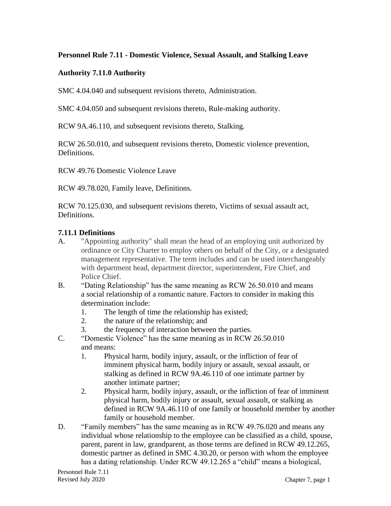### **Personnel Rule 7.11 - Domestic Violence, Sexual Assault, and Stalking Leave**

### **Authority 7.11.0 Authority**

SMC 4.04.040 and subsequent revisions thereto, Administration.

SMC 4.04.050 and subsequent revisions thereto, Rule-making authority.

RCW 9A.46.110, and subsequent revisions thereto, Stalking.

RCW 26.50.010, and subsequent revisions thereto, Domestic violence prevention, Definitions.

RCW 49.76 Domestic Violence Leave

RCW 49.78.020, Family leave, Definitions.

RCW 70.125.030, and subsequent revisions thereto, Victims of sexual assault act, Definitions.

### **7.11.1 Definitions**

- A. "Appointing authority" shall mean the head of an employing unit authorized by ordinance or City Charter to employ others on behalf of the City, or a designated management representative. The term includes and can be used interchangeably with department head, department director, superintendent, Fire Chief, and Police Chief.
- B. "Dating Relationship" has the same meaning as RCW 26.50.010 and means a social relationship of a romantic nature. Factors to consider in making this determination include:
	- 1. The length of time the relationship has existed;
	- 2. the nature of the relationship; and
	- 3. the frequency of interaction between the parties.
- C. "Domestic Violence" has the same meaning as in RCW 26.50.010 and means:
	- 1. Physical harm, bodily injury, assault, or the infliction of fear of imminent physical harm, bodily injury or assault, sexual assault, or stalking as defined in RCW [9A.46.110](http://app.leg.wa.gov/RCW/default.aspx?cite=9A.46.110) of one intimate partner by another intimate partner;
	- 2. Physical harm, bodily injury, assault, or the infliction of fear of imminent physical harm, bodily injury or assault, sexual assault, or stalking as defined in RCW [9A.46.110](http://app.leg.wa.gov/RCW/default.aspx?cite=9A.46.110) of one family or household member by another family or household member.
- D. "Family members" has the same meaning as in RCW 49.76.020 and means any individual whose relationship to the employee can be classified as a child, spouse, parent, parent in law, grandparent, as those terms are defined in RCW 49.12.265, domestic partner as defined in SMC 4.30.20, or person with whom the employee has a dating relationship. Under RCW 49.12.265 a "child" means a biological,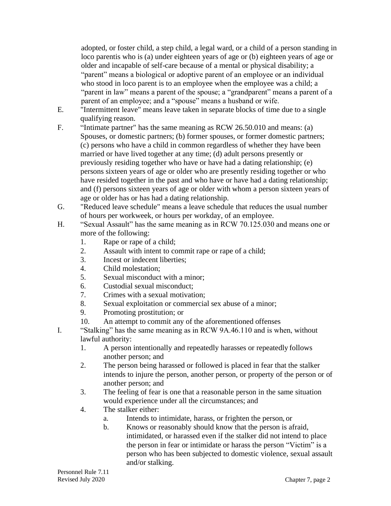adopted, or foster child, a step child, a legal ward, or a child of a person standing in loco parentis who is (a) under eighteen years of age or (b) eighteen years of age or older and incapable of self-care because of a mental or physical disability; a "parent" means a biological or adoptive parent of an employee or an individual who stood in loco parent is to an employee when the employee was a child; a "parent in law" means a parent of the spouse; a "grandparent" means a parent of a parent of an employee; and a "spouse" means a husband or wife.

- E. "Intermittent leave" means leave taken in separate blocks of time due to a single qualifying reason.
- F. "Intimate partner" has the same meaning as RCW 26.50.010 and means: (a) Spouses, or domestic partners; (b) former spouses, or former domestic partners; (c) persons who have a child in common regardless of whether they have been married or have lived together at any time; (d) adult persons presently or previously residing together who have or have had a dating relationship; (e) persons sixteen years of age or older who are presently residing together or who have resided together in the past and who have or have had a dating relationship; and (f) persons sixteen years of age or older with whom a person sixteen years of age or older has or has had a dating relationship.
- G. "Reduced leave schedule" means a leave schedule that reduces the usual number of hours per workweek, or hours per workday, of an employee.
- H. "Sexual Assault" has the same meaning as in RCW 70.125.030 and means one or more of the following:
	- 1. Rape or rape of a child;
	- 2. Assault with intent to commit rape or rape of a child;
	- 3. Incest or indecent liberties;
	- 4. Child molestation;
	- 5. Sexual misconduct with a minor;
	- 6. Custodial sexual misconduct;
	- 7. Crimes with a sexual motivation;
	- 8. Sexual exploitation or commercial sex abuse of a minor;
	- 9. Promoting prostitution; or
	- 10. An attempt to commit any of the aforementioned offenses
- I. "Stalking" has the same meaning as in RCW 9A.46.110 and is when, without lawful authority:
	- 1. A person intentionally and repeatedly harasses or repeatedly follows another person; and
	- 2. The person being harassed or followed is placed in fear that the stalker intends to injure the person, another person, or property of the person or of another person; and
	- 3. The feeling of fear is one that a reasonable person in the same situation would experience under all the circumstances; and
	- 4. The stalker either:
		- a. Intends to intimidate, harass, or frighten the person, or
		- b. Knows or reasonably should know that the person is afraid, intimidated, or harassed even if the stalker did not intend to place the person in fear or intimidate or harass the person "Victim" is a person who has been subjected to domestic violence, sexual assault and/or stalking.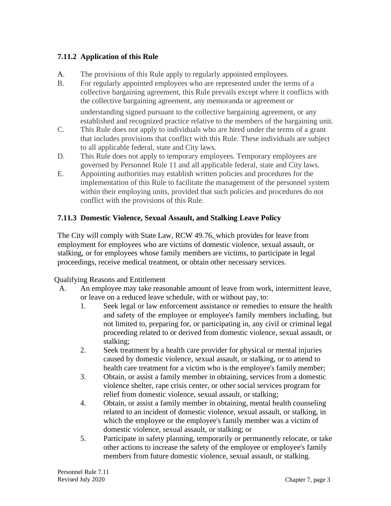# **7.11.2 Application of this Rule**

- A. The provisions of this Rule apply to regularly appointed employees.
- B. For regularly appointed employees who are represented under the terms of a collective bargaining agreement, this Rule prevails except where it conflicts with the collective bargaining agreement, any memoranda or agreement or

understanding signed pursuant to the collective bargaining agreement, or any established and recognized practice relative to the members of the bargaining unit.

- C. This Rule does not apply to individuals who are hired under the terms of a grant that includes provisions that conflict with this Rule. These individuals are subject to all applicable federal, state and City laws.
- D. This Rule does not apply to temporary employees. Temporary employees are governed by Personnel Rule 11 and all applicable federal, state and City laws.
- E. Appointing authorities may establish written policies and procedures for the implementation of this Rule to facilitate the management of the personnel system within their employing units, provided that such policies and procedures do not conflict with the provisions of this Rule.

# **7.11.3 Domestic Violence, Sexual Assault, and Stalking Leave Policy**

The City will comply with State Law, RCW 49.76, which provides for leave from employment for employees who are victims of domestic violence, sexual assault, or stalking, or for employees whose family members are victims, to participate in legal proceedings, receive medical treatment, or obtain other necessary services.

Qualifying Reasons and Entitlement

- A. An employee may take reasonable amount of leave from work, intermittent leave, or leave on a reduced leave schedule, with or without pay, to:
	- 1. Seek legal or law enforcement assistance or remedies to ensure the health and safety of the employee or employee's family members including, but not limited to, preparing for, or participating in, any civil or criminal legal proceeding related to or derived from domestic violence, sexual assault, or stalking;
	- 2. Seek treatment by a health care provider for physical or mental injuries caused by domestic violence, sexual assault, or stalking, or to attend to health care treatment for a victim who is the employee's family member;
	- 3. Obtain, or assist a family member in obtaining, services from a domestic violence shelter, rape crisis center, or other social services program for relief from domestic violence, sexual assault, or stalking;
	- 4. Obtain, or assist a family member in obtaining, mental health counseling related to an incident of domestic violence, sexual assault, or stalking, in which the employee or the employee's family member was a victim of domestic violence, sexual assault, or stalking; or
	- 5. Participate in safety planning, temporarily or permanently relocate, or take other actions to increase the safety of the employee or employee's family members from future domestic violence, sexual assault, or stalking.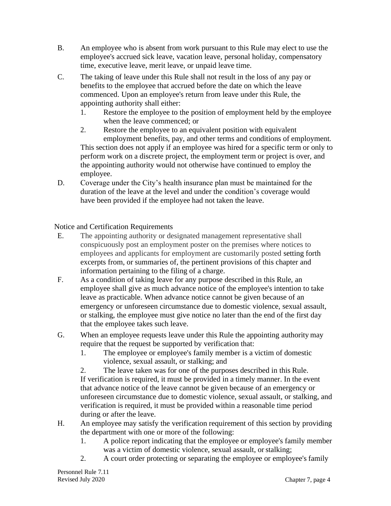- B. An employee who is absent from work pursuant to this Rule may elect to use the employee's accrued sick leave, vacation leave, personal holiday, compensatory time, executive leave, merit leave, or unpaid leave time.
- C. The taking of leave under this Rule shall not result in the loss of any pay or benefits to the employee that accrued before the date on which the leave commenced. Upon an employee's return from leave under this Rule, the appointing authority shall either:
	- 1. Restore the employee to the position of employment held by the employee when the leave commenced; or
	- 2. Restore the employee to an equivalent position with equivalent employment benefits, pay, and other terms and conditions of employment. This section does not apply if an employee was hired for a specific term or only to perform work on a discrete project, the employment term or project is over, and the appointing authority would not otherwise have continued to employ the employee.
- D. Coverage under the City's health insurance plan must be maintained for the duration of the leave at the level and under the condition's coverage would have been provided if the employee had not taken the leave.

Notice and Certification Requirements

- E. The appointing authority or designated management representative shall conspicuously post an employment poster on the premises where notices to employees and applicants for employment are customarily posted setting forth excerpts from, or summaries of, the pertinent provisions of this chapter and information pertaining to the filing of a charge.
- F. As a condition of taking leave for any purpose described in this Rule, an employee shall give as much advance notice of the employee's intention to take leave as practicable. When advance notice cannot be given because of an emergency or unforeseen circumstance due to domestic violence, sexual assault, or stalking, the employee must give notice no later than the end of the first day that the employee takes such leave.
- G. When an employee requests leave under this Rule the appointing authority may require that the request be supported by verification that:
	- 1. The employee or employee's family member is a victim of domestic violence, sexual assault, or stalking; and

2. The leave taken was for one of the purposes described in this Rule. If verification is required, it must be provided in a timely manner. In the event that advance notice of the leave cannot be given because of an emergency or unforeseen circumstance due to domestic violence, sexual assault, or stalking, and verification is required, it must be provided within a reasonable time period during or after the leave.

- H. An employee may satisfy the verification requirement of this section by providing the department with one or more of the following:
	- 1. A police report indicating that the employee or employee's family member was a victim of domestic violence, sexual assault, or stalking;
	- 2. A court order protecting or separating the employee or employee's family

Personnel Rule 7.11 Revised July 2020 Chapter 7, page 4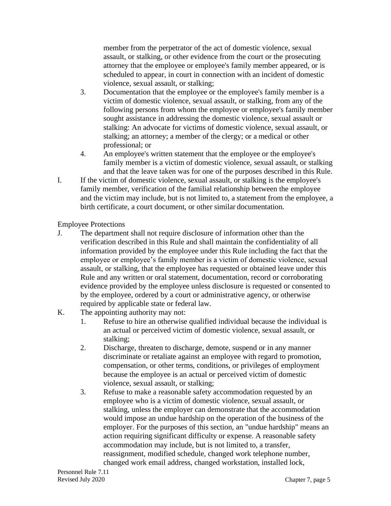member from the perpetrator of the act of domestic violence, sexual assault, or stalking, or other evidence from the court or the prosecuting attorney that the employee or employee's family member appeared, or is scheduled to appear, in court in connection with an incident of domestic violence, sexual assault, or stalking;

- 3. Documentation that the employee or the employee's family member is a victim of domestic violence, sexual assault, or stalking, from any of the following persons from whom the employee or employee's family member sought assistance in addressing the domestic violence, sexual assault or stalking: An advocate for victims of domestic violence, sexual assault, or stalking; an attorney; a member of the clergy; or a medical or other professional; or
- 4. An employee's written statement that the employee or the employee's family member is a victim of domestic violence, sexual assault, or stalking and that the leave taken was for one of the purposes described in this Rule.
- I. If the victim of domestic violence, sexual assault, or stalking is the employee's family member, verification of the familial relationship between the employee and the victim may include, but is not limited to, a statement from the employee, a birth certificate, a court document, or other similar documentation.

Employee Protections

- J. The department shall not require disclosure of information other than the verification described in this Rule and shall maintain the confidentiality of all information provided by the employee under this Rule including the fact that the employee or employee's family member is a victim of domestic violence, sexual assault, or stalking, that the employee has requested or obtained leave under this Rule and any written or oral statement, documentation, record or corroborating evidence provided by the employee unless disclosure is requested or consented to by the employee, ordered by a court or administrative agency, or otherwise required by applicable state or federal law.
- K. The appointing authority may not:
	- 1. Refuse to hire an otherwise qualified individual because the individual is an actual or perceived victim of domestic violence, sexual assault, or stalking;
	- 2. Discharge, threaten to discharge, demote, suspend or in any manner discriminate or retaliate against an employee with regard to promotion, compensation, or other terms, conditions, or privileges of employment because the employee is an actual or perceived victim of domestic violence, sexual assault, or stalking;
	- 3. Refuse to make a reasonable safety accommodation requested by an employee who is a victim of domestic violence, sexual assault, or stalking, unless the employer can demonstrate that the accommodation would impose an undue hardship on the operation of the business of the employer. For the purposes of this section, an "undue hardship" means an action requiring significant difficulty or expense. A reasonable safety accommodation may include, but is not limited to, a transfer, reassignment, modified schedule, changed work telephone number, changed work email address, changed workstation, installed lock,